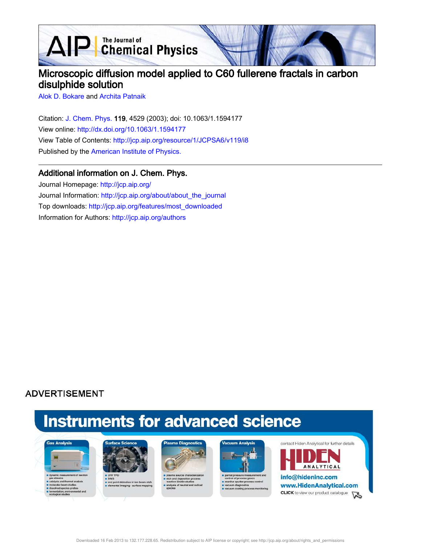AIP Chemical Physics

# Microscopic diffusion model applied to C60 fullerene fractals in carbon disulphide solution

Alok D. Bokare and Archita Patnaik

Citation: J. Chem. Phys. 119, 4529 (2003); doi: 10.1063/1.1594177 View online: http://dx.doi.org/10.1063/1.1594177 View Table of Contents: http://jcp.aip.org/resource/1/JCPSA6/v119/i8 Published by the American Institute of Physics.

### Additional information on J. Chem. Phys.

Journal Homepage: http://jcp.aip.org/ Journal Information: http://jcp.aip.org/about/about\_the\_journal Top downloads: http://jcp.aip.org/features/most\_downloaded Information for Authors: http://jcp.aip.org/authors

## **ADVERTISEMENT**

# **Instruments for advanced science**





s end point detection in ion bear<br>selemental imaging - surface m





partial pressure measure re sputter pri cess control



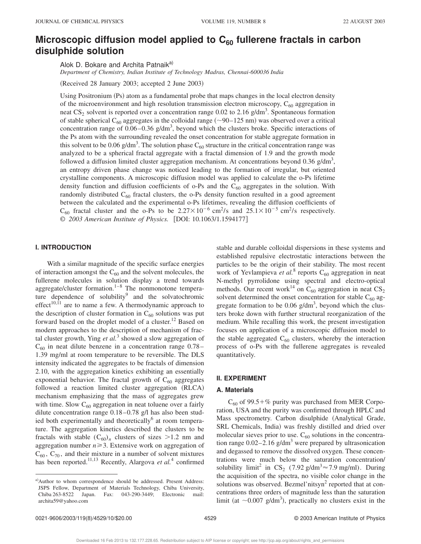## **Microscopic diffusion model applied to C<sup>60</sup> fullerene fractals in carbon disulphide solution**

Alok D. Bokare and Archita Patnaik<sup>a)</sup>

*Department of Chemistry, Indian Institute of Technology Madras, Chennai-600036 India*

(Received 28 January 2003; accepted 2 June 2003)

Using Positronium (Ps) atom as a fundamental probe that maps changes in the local electron density of the microenvironment and high resolution transmission electron microscopy,  $C_{60}$  aggregation in neat  $CS_2$  solvent is reported over a concentration range 0.02 to 2.16 g/dm<sup>3</sup>. Spontaneous formation of stable spherical C<sub>60</sub> aggregates in the colloidal range  $(\sim 90-125 \text{ nm})$  was observed over a critical concentration range of  $0.06 - 0.36$  g/dm<sup>3</sup>, beyond which the clusters broke. Specific interactions of the Ps atom with the surrounding revealed the onset concentration for stable aggregate formation in this solvent to be 0.06 g/dm<sup>3</sup>. The solution phase  $C_{60}$  structure in the critical concentration range was analyzed to be a spherical fractal aggregate with a fractal dimension of 1.9 and the growth mode followed a diffusion limited cluster aggregation mechanism. At concentrations beyond 0.36  $g/dm<sup>3</sup>$ , an entropy driven phase change was noticed leading to the formation of irregular, but oriented crystalline components. A microscopic diffusion model was applied to calculate the o-Ps lifetime density function and diffusion coefficients of  $\circ$ -Ps and the  $C_{60}$  aggregates in the solution. With randomly distributed  $C_{60}$  fractal clusters, the o-Ps density function resulted in a good agreement between the calculated and the experimental o-Ps lifetimes, revealing the diffusion coefficients of  $C_{60}$  fractal cluster and the o-Ps to be  $2.27 \times 10^{-6}$  cm<sup>2</sup>/s and  $25.1 \times 10^{-5}$  cm<sup>2</sup>/s respectively. © 2003 American Institute of Physics. [DOI: 10.1063/1.1594177]

#### **I. INTRODUCTION**

With a similar magnitude of the specific surface energies of interaction amongst the  $C_{60}$  and the solvent molecules, the fullerene molecules in solution display a trend towards aggregate/cluster formation.<sup>1–8</sup> The nonmonotone temperature dependence of solubility<sup>9</sup> and the solvatochromic effect<sup>10,11</sup> are to name a few. A thermodynamic approach to the description of cluster formation in  $C_{60}$  solutions was put forward based on the droplet model of a cluster.<sup>12</sup> Based on modern approaches to the description of mechanism of fractal cluster growth, Ying *et al.*<sup>3</sup> showed a slow aggregation of  $C_{60}$  in neat dilute benzene in a concentration range 0.78– 1.39 mg/ml at room temperature to be reversible. The DLS intensity indicated the aggregates to be fractals of dimension 2.10, with the aggregation kinetics exhibiting an essentially exponential behavior. The fractal growth of  $C_{60}$  aggregates followed a reaction limited cluster aggregation (RLCA) mechanism emphasizing that the mass of aggregates grew with time. Slow  $C_{60}$  aggregation in neat toluene over a fairly dilute concentration range 0.18–0.78 g/l has also been studied both experimentally and theoretically<sup>6</sup> at room temperature. The aggregation kinetics described the clusters to be fractals with stable  $(C_{60})_n$  clusters of sizes >1.2 nm and aggregation number  $n \geq 3$ . Extensive work on aggregation of  $C_{60}$ ,  $C_{70}$ , and their mixture in a number of solvent mixtures has been reported.<sup>11,13</sup> Recently, Alargova *et al.*<sup>4</sup> confirmed stable and durable colloidal dispersions in these systems and established repulsive electrostatic interactions between the particles to be the origin of their stability. The most recent work of Yevlampieva et al.<sup>8</sup> reports C<sub>60</sub> aggregation in neat N-methyl pyrrolidone using spectral and electro-optical methods. Our recent work<sup>14</sup> on C<sub>60</sub> aggregation in neat  $CS_2$ solvent determined the onset concentration for stable  $C_{60}$  aggregate formation to be  $0.06$  g/dm<sup>3</sup>, beyond which the clusters broke down with further structural reorganization of the medium. While recalling this work, the present investigation focuses on application of a microscopic diffusion model to the stable aggregated  $C_{60}$  clusters, whereby the interaction process of o-Ps with the fullerene aggregates is revealed quantitatively.

#### **II. EXPERIMENT**

#### **A. Materials**

 $C_{60}$  of 99.5+% purity was purchased from MER Corporation, USA and the purity was confirmed through HPLC and Mass spectrometry. Carbon disulphide (Analytical Grade, SRL Chemicals, India) was freshly distilled and dried over molecular sieves prior to use.  $C_{60}$  solutions in the concentration range  $0.02-2.16$  g/dm<sup>3</sup> were prepared by ultrasonication and degassed to remove the dissolved oxygen. These concentrations were much below the saturation concentration/ solubility limit<sup>2</sup> in  $CS_2$  (7.92 g/dm<sup>3</sup> $\approx$  7.9 mg/ml). During the acquisition of the spectra, no visible color change in the solutions was observed. Bezmel'nitsyn $2$  reported that at concentrations three orders of magnitude less than the saturation limit (at  $\sim$ 0.007 g/dm<sup>3</sup>), practically no clusters exist in the

a)Author to whom correspondence should be addressed. Present Address: JSPS Fellow, Department of Materials Technology, Chiba University, Chiba 263-8522 Japan. Fax: 043-290-3449; Electronic mail: archita59@yahoo.com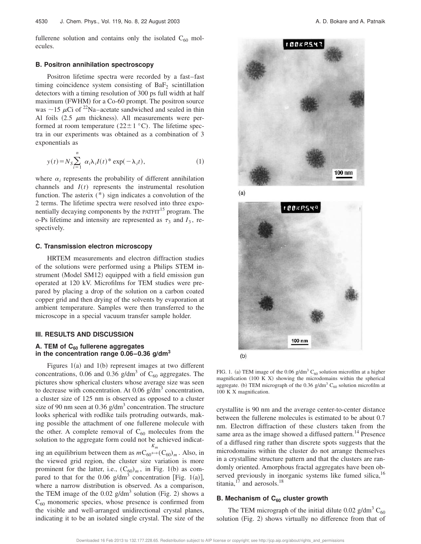fullerene solution and contains only the isolated  $C_{60}$  molecules.

#### **B. Positron annihilation spectroscopy**

Positron lifetime spectra were recorded by a fast–fast timing coincidence system consisting of  $BaF_2$  scintillation detectors with a timing resolution of 300 ps full width at half maximum (FWHM) for a  $Co-60$  prompt. The positron source was  $\sim$ 15  $\mu$ Ci of <sup>22</sup>Na–acetate sandwiched and sealed in thin Al foils  $(2.5 \mu m)$  thickness). All measurements were performed at room temperature ( $22 \pm 1$  °C). The lifetime spectra in our experiments was obtained as a combination of 3 exponentials as

$$
y(t) = N_S \sum_{i=1}^{n} \alpha_i \lambda_i I(t)^* \exp(-\lambda_i t), \qquad (1)
$$

where  $\alpha_i$  represents the probability of different annihilation channels and *I*(*t*) represents the instrumental resolution function. The asterix (\*) sign indicates a convolution of the 2 terms. The lifetime spectra were resolved into three exponentially decaying components by the  $P\text{ATFIT}^{15}$  program. The o-Ps lifetime and intensity are represented as  $\tau_3$  and  $I_3$ , respectively.

#### **C. Transmission electron microscopy**

HRTEM measurements and electron diffraction studies of the solutions were performed using a Philips STEM instrument (Model SM12) equipped with a field emission gun operated at 120 kV. Microfilms for TEM studies were prepared by placing a drop of the solution on a carbon coated copper grid and then drying of the solvents by evaporation at ambient temperature. Samples were then transferred to the microscope in a special vacuum transfer sample holder.

#### **III. RESULTS AND DISCUSSION**

#### **A. TEM of C<sup>60</sup> fullerene aggregates** in the concentration range  $0.06-0.36$  g/dm<sup>3</sup>

Figures  $1(a)$  and  $1(b)$  represent images at two different concentrations, 0.06 and 0.36  $\text{g/dm}^3$  of  $\text{C}_{60}$  aggregates. The pictures show spherical clusters whose average size was seen to decrease with concentration. At 0.06  $g/dm<sup>3</sup>$  concentration, a cluster size of 125 nm is observed as opposed to a cluster size of 90 nm seen at 0.36  $\frac{g}{dm}^3$  concentration. The structure looks spherical with rodlike tails protruding outwards, making possible the attachment of one fullerene molecule with the other. A complete removal of  $C_{60}$  molecules from the solution to the aggregate form could not be achieved indicating an equilibrium between them as  $mC_{60} \leftrightarrow$  $(C_{60})_m$ . Also, in the viewed grid region, the cluster size variation is more prominent for the latter, i.e.,  $(C_{60})_m$ , in Fig. 1(b) as compared to that for the 0.06  $g/dm^3$  concentration [Fig. 1(a)], where a narrow distribution is observed. As a comparison, the TEM image of the  $0.02$  g/dm<sup>3</sup> solution (Fig. 2) shows a  $C_{60}$  monomeric species, whose presence is confirmed from the visible and well-arranged unidirectional crystal planes, indicating it to be an isolated single crystal. The size of the



 $(a)$ 



FIG. 1. (a) TEM image of the 0.06 g/dm<sup>3</sup> C<sub>60</sub> solution microfilm at a higher magnification  $(100 K X)$  showing the microdomains within the spherical aggregate. (b) TEM micrograph of the 0.36 g/dm<sup>3</sup> C<sub>60</sub> solution microfilm at 100 K X magnification.

crystallite is 90 nm and the average center-to-center distance between the fullerene molecules is estimated to be about 0.7 nm. Electron diffraction of these clusters taken from the same area as the image showed a diffused pattern.<sup>14</sup> Presence of a diffused ring rather than discrete spots suggests that the microdomains within the cluster do not arrange themselves in a crystalline structure pattern and that the clusters are randomly oriented. Amorphous fractal aggregates have been observed previously in inorganic systems like fumed silica,<sup>16</sup> titania, $17$  and aerosols.<sup>18</sup>

#### **B. Mechanism of C<sup>60</sup> cluster growth**

The TEM micrograph of the initial dilute 0.02 g/dm<sup>3</sup> C<sub>60</sub> solution  $(Fig. 2)$  shows virtually no difference from that of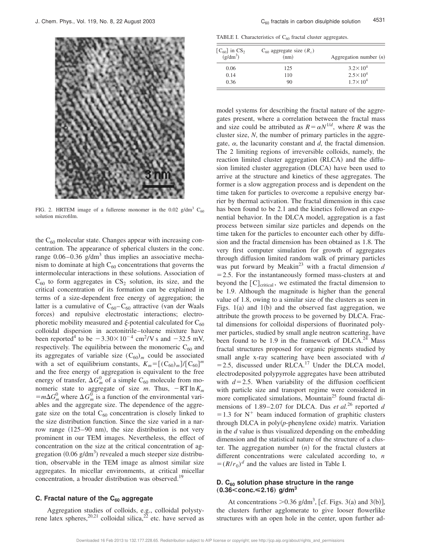

FIG. 2. HRTEM image of a fullerene monomer in the 0.02 g/dm<sup>3</sup> C<sub>60</sub> solution microfilm.

the  $C_{60}$  molecular state. Changes appear with increasing concentration. The appearance of spherical clusters in the conc. range  $0.06 - 0.36$  g/dm<sup>3</sup> thus implies an associative mechanism to dominate at high  $C_{60}$  concentrations that governs the intermolecular interactions in these solutions. Association of  $C_{60}$  to form aggregates in  $CS_2$  solution, its size, and the critical concentration of its formation can be explained in terms of a size-dependent free energy of aggregation; the latter is a cumulative of  $C_{60}-C_{60}$  attractive (van der Waals forces) and repulsive electrostatic interactions; electrophoretic mobility measured and  $\xi$ -potential calculated for C<sub>60</sub> colloidal dispersion in acetonitrile–toluene mixture have been reported<sup>4</sup> to be  $-3.30\times10^{-4}$  cm<sup>2</sup>/V s and  $-32.5$  mV, respectively. The equilibria between the monomeric  $C_{60}$  and its aggregates of variable size  $(C_{60})_m$  could be associated with a set of equilibrium constants,  $K_m = [(C_{60})_m]/[C_{60}]^m$ and the free energy of aggregation is equivalent to the free energy of transfer,  $\Delta G_m^0$  of a simple C<sub>60</sub> molecule from monomeric state to aggregate of size *m*. Thus,  $-RT \ln K_m$  $=m\Delta G_m^0$  where  $\Delta G_m^0$  is a function of the environmental variables and the aggregate size. The dependence of the aggregate size on the total  $C_{60}$  concentration is closely linked to the size distribution function. Since the size varied in a narrow range  $(125–90 \text{ nm})$ , the size distribution is not very prominent in our TEM images. Nevertheless, the effect of concentration on the size at the critical concentration of aggregation  $(0.06 \text{ g/dm}^3)$  revealed a much steeper size distribution, observable in the TEM image as almost similar size aggregates. In micellar environments, at critical micellar concentration, a broader distribution was observed.<sup>19</sup>

#### **C. Fractal nature of the C<sup>60</sup> aggregate**

Aggregation studies of colloids, e.g., colloidal polystyrene latex spheres,<sup>20,21</sup> colloidal silica,<sup>22</sup> etc. have served as

TABLE I. Characteristics of  $C_{60}$  fractal cluster aggregates.

| $[C_{60}]$ in $CS_2$<br>$(g/dm^3)$ | $C_{60}$ aggregate size $(R_c)$<br>(nm) | Aggregation number $(n)$ |  |
|------------------------------------|-----------------------------------------|--------------------------|--|
| 0.06                               | 125                                     | $3.2 \times 10^{4}$      |  |
| 0.14                               | 110                                     | $2.5 \times 10^{4}$      |  |
| 0.36                               | 90                                      | $1.7 \times 10^4$        |  |

model systems for describing the fractal nature of the aggregates present, where a correlation between the fractal mass and size could be attributed as  $R = \alpha N^{1/d}$ , where *R* was the cluster size, *N*, the number of primary particles in the aggregate,  $\alpha$ , the lacunarity constant and  $d$ , the fractal dimension. The 2 limiting regions of irreversible colloids, namely, the reaction limited cluster aggregation (RLCA) and the diffusion limited cluster aggregation (DLCA) have been used to arrive at the structure and kinetics of these aggregates. The former is a slow aggregation process and is dependent on the time taken for particles to overcome a repulsive energy barrier by thermal activation. The fractal dimension in this case has been found to be 2.1 and the kinetics followed an exponential behavior. In the DLCA model, aggregation is a fast process between similar size particles and depends on the time taken for the particles to encounter each other by diffusion and the fractal dimension has been obtained as 1.8. The very first computer simulation for growth of aggregates through diffusion limited random walk of primary particles was put forward by Meakin<sup>23</sup> with a fractal dimension  $d$  $=$  2.5. For the instantaneously formed mass-clusters at and beyond the  $[C]_{critical}$ , we estimated the fractal dimension to be 1.9. Although the magnitude is higher than the general value of 1.8, owing to a similar size of the clusters as seen in Figs.  $1(a)$  and  $1(b)$  and the observed fast aggregation, we attribute the growth process to be governed by DLCA. Fractal dimensions for colloidal dispersions of fluorinated polymer particles, studied by small angle neutron scattering, have been found to be 1.9 in the framework of  $DLCA.<sup>24</sup>$  Mass fractal structures proposed for organic pigments studied by small angle x-ray scattering have been associated with *d*  $=$  2.5, discussed under RLCA.<sup>17</sup> Under the DLCA model, electrodeposited polypyrrole aggregates have been attributed with  $d=2.5$ . When variability of the diffusion coefficient with particle size and transport regime were considered in more complicated simulations, Mountain<sup>25</sup> found fractal dimensions of 1.89–2.07 for DLCA. Das *et al.*<sup>26</sup> reported *d*  $=1.3$  for N<sup>+</sup> beam induced formation of graphitic clusters through DLCA in  $poly(p$ -phenylene oxide) matrix. Variation in the *d* value is thus visualized depending on the embedding dimension and the statistical nature of the structure of a cluster. The aggregation number  $(n)$  for the fractal clusters at different concentrations were calculated according to, *n*  $=(R/r_0)^d$  and the values are listed in Table I.

#### **D. C<sup>60</sup> solution phase structure in the range**  $(0.36 < \text{conc.} \leq 2.16)$  g/dm<sup>3</sup>

At concentrations  $> 0.36$  g/dm<sup>3</sup>, [cf. Figs. 3(a) and 3(b)], the clusters further agglomerate to give looser flowerlike structures with an open hole in the center, upon further ad-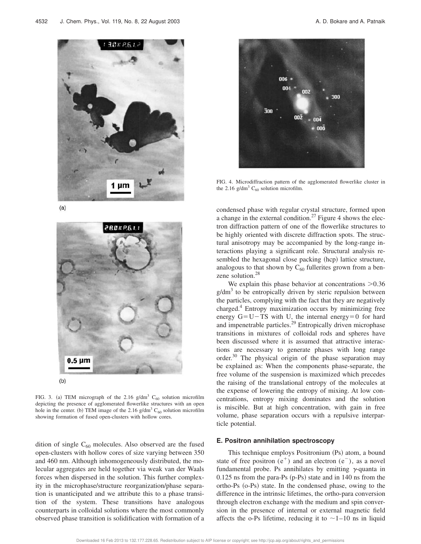

 $(a)$ 



FIG. 3. (a) TEM micrograph of the 2.16 g/dm<sup>3</sup> C<sub>60</sub> solution microfilm depicting the presence of agglomerated flowerlike structures with an open hole in the center. (b) TEM image of the 2.16  $g/dm<sup>3</sup> C<sub>60</sub>$  solution microfilm showing formation of fused open-clusters with hollow cores.

dition of single  $C_{60}$  molecules. Also observed are the fused open-clusters with hollow cores of size varying between 350 and 460 nm. Although inhomogeneously distributed, the molecular aggregates are held together via weak van der Waals forces when dispersed in the solution. This further complexity in the microphase/structure reorganization/phase separation is unanticipated and we attribute this to a phase transition of the system. These transitions have analogous counterparts in colloidal solutions where the most commonly observed phase transition is solidification with formation of a



FIG. 4. Microdiffraction pattern of the agglomerated flowerlike cluster in the 2.16 g/dm<sup>3</sup>  $C_{60}$  solution microfilm.

condensed phase with regular crystal structure, formed upon a change in the external condition.<sup>27</sup> Figure 4 shows the electron diffraction pattern of one of the flowerlike structures to be highly oriented with discrete diffraction spots. The structural anisotropy may be accompanied by the long-range interactions playing a significant role. Structural analysis resembled the hexagonal close packing (hcp) lattice structure, analogous to that shown by  $C_{60}$  fullerites grown from a benzene solution.<sup>28</sup>

We explain this phase behavior at concentrations  $>0.36$  $g/dm<sup>3</sup>$  to be entropically driven by steric repulsion between the particles, complying with the fact that they are negatively charged.<sup>4</sup> Entropy maximization occurs by minimizing free energy  $G=U-TS$  with U, the internal energy=0 for hard and impenetrable particles.<sup>29</sup> Entropically driven microphase transitions in mixtures of colloidal rods and spheres have been discussed where it is assumed that attractive interactions are necessary to generate phases with long range order. $30$  The physical origin of the phase separation may be explained as: When the components phase-separate, the free volume of the suspension is maximized which precedes the raising of the translational entropy of the molecules at the expense of lowering the entropy of mixing. At low concentrations, entropy mixing dominates and the solution is miscible. But at high concentration, with gain in free volume, phase separation occurs with a repulsive interparticle potential.

#### **E. Positron annihilation spectroscopy**

This technique employs Positronium (Ps) atom, a bound state of free positron  $(e^+)$  and an electron  $(e^-)$ , as a novel fundamental probe. Ps annihilates by emitting  $\gamma$ -quanta in  $0.125$  ns from the para-Ps  $(p-Ps)$  state and in 140 ns from the ortho-Ps  $(o-Ps)$  state. In the condensed phase, owing to the difference in the intrinsic lifetimes, the ortho-para conversion through electron exchange with the medium and spin conversion in the presence of internal or external magnetic field affects the o-Ps lifetime, reducing it to  $\sim$ 1–10 ns in liquid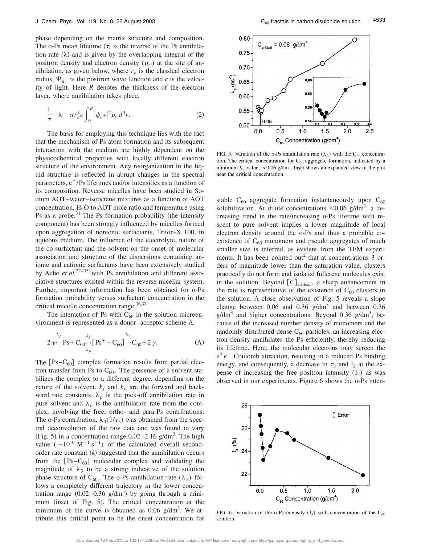phase depending on the matrix structure and composition. The o-Ps mean lifetime  $(\tau)$  is the inverse of the Ps annihilation rate  $(\lambda)$  and is given by the overlapping integral of the positron density and electron density ( $\rho_{el}$ ) at the site of annihilation, as given below, where  $r_e$  is the classical electron radius,  $\Psi_{e^+}$  is the positron wave function and *c* is the velocity of light. Here *R* denotes the thickness of the electron layer, where annihilation takes place.

$$
\frac{1}{\tau} = \lambda = \pi r_e^2 c \int_0^R |\psi_{e^+}|^2 \rho_{\rm el} d^3 r.
$$
 (2)

The basis for employing this technique lies with the fact that the mechanism of Ps atom formation and its subsequent interaction with the medium are highly dependent on the physicochemical properties with locally different electron structure of the environment. Any reorganization in the liquid structure is reflected in abrupt changes in the spectral parameters,  $e^+/Ps$  lifetimes and/or intensities as a function of its composition. Reverse micelles have been studied in Sodium AOT–water–isooctane mixtures as a function of AOT concentration,  $H_2O$  to AOT mole ratio and temperature using Ps as a probe. $31$  The Ps formation probability (the intensity component) has been strongly influenced by micelles formed upon aggregation of nonionic surfactants, Triton-X 100, in aqueous medium. The influence of the electrolyte, nature of the co-surfactant and the solvent on the onset of molecular association and structure of the dispersions containing anionic and cationic surfactants have been extensively studied by Ache *et al.*32–35 with Ps annihilation and different associative structures existed within the reverse micellar system. Further, important information has been obtained for o-Ps formation probability versus surfactant concentration in the critical micelle concentration range.<sup>36,37</sup>

The interaction of Ps with  $C_{60}$  in the solution microenvironment is represented as a donor–acceptor scheme A.

$$
\lambda_p \lambda_p + \mathbf{C}_{60} \leftrightarrow \left[\mathbf{P}\mathbf{s}^+ - \mathbf{C}_{60}^-\right] \rightarrow \mathbf{C}_{60} + 2\gamma. \tag{A}
$$

The  $[Ps-C_{60}]$  complex formation results from partial electron transfer from Ps to  $C_{60}$ . The presence of a solvent stabilizes the complex to a different degree, depending on the nature of the solvent.  $k_f$  and  $k_b$  are the forward and backward rate constants,  $\lambda_p$  is the pick-off annihilation rate in pure solvent and  $\lambda_c$  is the annihilation rate from the complex, involving the free, ortho- and para-Ps contributions. The o-Ps contribution,  $\lambda_3(1/\tau_3)$  was obtained from the spectral deconvolution of the raw data and was found to vary (Fig. 5) in a concentration range  $0.02-2.16$  g/dm<sup>3</sup>. The high value  $({\sim}10^{10} \text{ M}^{-1} \text{ s}^{-1})$  of the calculated overall secondorder rate constant  $(k)$  suggested that the annihilation occurs from the  $[Ps-C_{60}]$  molecular complex and validating the magnitude of  $\lambda_3$  to be a strong indicative of the solution phase structure of  $C_{60}$ . The o-Ps annihilation rate  $(\lambda_3)$  follows a completely different trajectory in the lower concentration range  $(0.02-0.36 \text{ g/dm}^3)$  by going through a minimum (inset of Fig. 5). The critical concentration at the minimum of the curve is obtained as  $0.06$  g/dm<sup>3</sup>. We attribute this critical point to be the onset concentration for



FIG. 5. Variation of the o-Ps annihilation rate  $(\lambda_3)$  with the C<sub>60</sub> concentration. The critical concentration for  $C_{60}$  aggregate formation, indicated by a minimum  $\lambda_3$  value, is 0.06 g/dm<sup>3</sup>. Inset shows an expanded view of the plot near the critical concentration.

stable  $C_{60}$  aggregate formation instantaneously upon  $C_{60}$ solubilization. At dilute concentrations  $\leq 0.06$  g/dm<sup>3</sup>, a decreasing trend in the rate/increasing o-Ps lifetime with respect to pure solvent implies a lower magnitude of local electron density around the o-Ps and thus a probable coexistence of  $C_{60}$  monomers and pseudo aggregates of much smaller size is inferred, as evident from the TEM experiments. It has been pointed out<sup>2</sup> that at concentrations  $3$  orders of magnitude lower than the saturation value, clusters practically do not form and isolated fullerene molecules exist in the solution. Beyond  $[C]_{critical}$ , a sharp enhancement in the rate is representative of the existence of  $C_{60}$  clusters in the solution. A close observation of Fig. 5 reveals a slope change between  $0.06$  and  $0.36$  g/dm<sup>3</sup> and between  $0.36$  $g/dm<sup>3</sup>$  and higher concentrations. Beyond 0.36  $g/dm<sup>3</sup>$ , because of the increased number density of monomers and the randomly distributed dense  $C_{60}$  particles, an increasing electron density annihilates the Ps efficiently, thereby reducing its lifetime. Here, the molecular electrons may screen the e 1e <sup>2</sup> Coulomb attraction, resulting in a reduced Ps binding energy, and consequently, a decrease in  $\tau_3$  and  $I_3$  at the expense of increasing the free positron intensity  $(I_2)$  as was observed in our experiments. Figure 6 shows the o-Ps inten-



FIG. 6. Variation of the o-Ps intensity  $(I_3)$  with concentration of the  $C_{60}$ solution.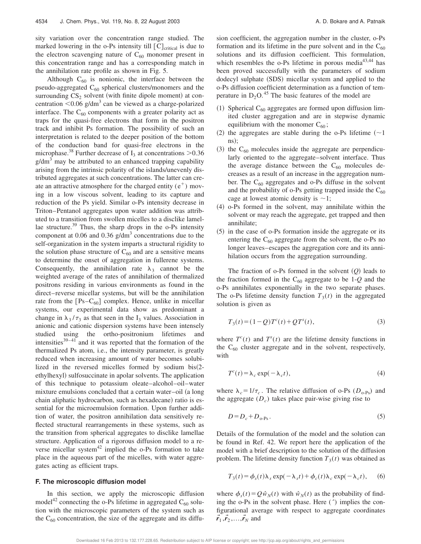sity variation over the concentration range studied. The marked lowering in the o-Ps intensity till  $[C]_{critical}$  is due to the electron scavenging nature of  $C_{60}$  monomer present in this concentration range and has a corresponding match in the annihilation rate profile as shown in Fig. 5.

Although  $C_{60}$  is nonionic, the interface between the pseudo-aggregated  $C_{60}$  spherical clusters/monomers and the surrounding  $CS_2$  solvent (with finite dipole moment) at concentration  $\leq 0.06$  g/dm<sup>3</sup> can be viewed as a charge-polarized interface. The  $C_{60}$  components with a greater polarity act as traps for the quasi-free electrons that form in the positron track and inhibit Ps formation. The possibility of such an interpretation is related to the deeper position of the bottom of the conduction band for quasi-free electrons in the microphase.<sup>38</sup> Further decrease of  $I_3$  at concentrations  $>0.36$  $g/dm<sup>3</sup>$  may be attributed to an enhanced trapping capability arising from the intrinsic polarity of the islands/unevenly distributed aggregates at such concentrations. The latter can create an attractive atmosphere for the charged entity  $(e^+)$  moving in a low viscous solvent, leading to its capture and reduction of the Ps yield. Similar o-Ps intensity decrease in Triton–Pentanol aggregates upon water addition was attributed to a transition from swollen micelles to a disclike lamellae structure. $39$  Thus, the sharp drops in the o-Ps intensity component at 0.06 and 0.36  $g/dm<sup>3</sup>$  concentrations due to the self-organization in the system imparts a structural rigidity to the solution phase structure of  $C_{60}$  and are a sensitive means to determine the onset of aggregation in fullerene systems. Consequently, the annihilation rate  $\lambda_3$  cannot be the weighted average of the rates of annihilation of thermalized positrons residing in various environments as found in the direct–reverse micellar systems, but will be the annihilation rate from the  $[Ps-C<sub>60</sub>]$  complex. Hence, unlike in micellar systems, our experimental data show as predominant a change in  $\lambda_3/\tau_3$  as that seen in the I<sub>3</sub> values. Association in anionic and cationic dispersion systems have been intensely studied using the ortho-positronium lifetimes and intensities $39-41$  and it was reported that the formation of the thermalized Ps atom, i.e., the intensity parameter, is greatly reduced when increasing amount of water becomes solubilized in the reversed micelles formed by sodium bis $(2$ ethylhexyl) sulfosuccinate in apolar solvents. The application of this technique to potassium oleate–alcohol–oil–water mixture emulsions concluded that a certain water-oil  $(a$  long chain aliphatic hydrocarbon, such as hexadecane) ratio is essential for the microemulsion formation. Upon further addition of water, the positron annihilation data sensitively reflected structural rearrangements in these systems, such as the transition from spherical aggregates to disclike lamellae structure. Application of a rigorous diffusion model to a reverse micellar system $42$  implied the o-Ps formation to take place in the aqueous part of the micelles, with water aggregates acting as efficient traps.

#### **F. The microscopic diffusion model**

In this section, we apply the microscopic diffusion model<sup>42</sup> connecting the o-Ps lifetime in aggregated  $C_{60}$  solution with the microscopic parameters of the system such as the  $C_{60}$  concentration, the size of the aggregate and its diffusion coefficient, the aggregation number in the cluster, o-Ps formation and its lifetime in the pure solvent and in the  $C_{60}$ solutions and its diffusion coefficient. This formulation, which resembles the o-Ps lifetime in porous media $43,44$  has been proved successfully with the parameters of sodium dodecyl sulphate (SDS) micellar system and applied to the o-Ps diffusion coefficient determination as a function of temperature in  $D_2O^{45}$ . The basic features of the model are

- (1) Spherical  $C_{60}$  aggregates are formed upon diffusion limited cluster aggregation and are in stepwise dynamic equilibrium with the monomer  $C_{60}$ ;
- (2) the aggregates are stable during the o-Ps lifetime  $(\sim 1)$  $\text{ns}$ :
- $(3)$  the C<sub>60</sub> molecules inside the aggregate are perpendicularly oriented to the aggregate–solvent interface. Thus the average distance between the  $C_{60}$  molecules decreases as a result of an increase in the aggregation number. The  $C_{60}$  aggregates and o-Ps diffuse in the solvent and the probability of o-Ps getting trapped inside the  $C_{60}$ cage at lowest atomic density is  $\sim$ 1;
- $(4)$  o-Ps formed in the solvent, may annihilate within the solvent or may reach the aggregate, get trapped and then annihilate;
- $(5)$  in the case of o-Ps formation inside the aggregate or its entering the  $C_{60}$  aggregate from the solvent, the o-Ps no longer leaves–escapes the aggregation core and its annihilation occurs from the aggregation surrounding.

The fraction of o-Ps formed in the solvent  $(Q)$  leads to the fraction formed in the  $C_{60}$  aggregate to be 1-Q and the o-Ps annihilates exponentially in the two separate phases. The o-Ps lifetime density function  $T_3(t)$  in the aggregated solution is given as

$$
T_3(t) = (1 - Q)T^c(t) + QT^s(t),
$$
\n(3)

where  $T^{c}(t)$  and  $T^{s}(t)$  are the lifetime density functions in the  $C_{60}$  cluster aggregate and in the solvent, respectively, with

$$
T^{c}(t) = \lambda_{c} \exp(-\lambda_{c}t), \qquad (4)
$$

where  $\lambda_c = 1/\tau_c$ . The relative diffusion of o-Ps ( $D_{o-Ps}$ ) and the aggregate  $(D_c)$  takes place pair-wise giving rise to

$$
D = D_c + D_{o\text{-Ps}}.\tag{5}
$$

Details of the formulation of the model and the solution can be found in Ref. 42. We report here the application of the model with a brief description to the solution of the diffusion problem. The lifetime density function  $T_3(t)$  was obtained as

$$
T_3(t) = \phi_s(t)\lambda_s \exp(-\lambda_s t) + \phi_c(t)\lambda_c \exp(-\lambda_c t),
$$
 (6)

where  $\phi_s(t) = Q \hat{w}_N(t)$  with  $\hat{w}_N(t)$  as the probability of finding the o-Ps in the solvent phase. Here (*ˆ*) implies the configurational average with respect to aggregate coordinates  $\vec{r}_1, \vec{r}_2, \ldots, \vec{r}_N$  and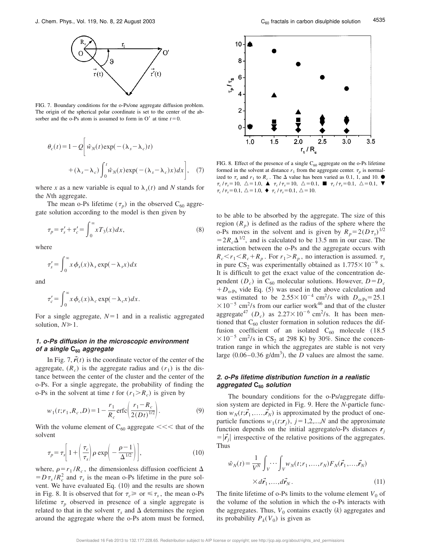

FIG. 7. Boundary conditions for the o-Ps/one aggregate diffusion problem. The origin of the spherical polar coordinate is set to the center of the absorber and the o-Ps atom is assumed to form in O' at time  $t=0$ .

$$
\theta_c(t) = 1 - Q \bigg[ \hat{w}_N(t) \exp(-(\lambda_s - \lambda_c)t) + (\lambda_s - \lambda_c) \int_0^t \hat{w}_N(x) \exp(-(\lambda_s - \lambda_c)x) dx \bigg], \quad (7)
$$

where *x* as a new variable is equal to  $\lambda_s(t)$  and *N* stands for the *N*th aggregate.

The mean o-Ps lifetime  $(\tau_p)$  in the observed C<sub>60</sub> aggregate solution according to the model is then given by

$$
\tau_p = \tau_s' + \tau_c' = \int_0^\infty x T_3(x) dx,\tag{8}
$$

where

$$
\tau'_{s} = \int_{0}^{\infty} x \phi_{s}(x) \lambda_{s} \exp(-\lambda_{s} x) dx
$$

and

$$
\tau_c' = \int_0^\infty x \, \phi_c(x) \lambda_c \, \exp(-\lambda_c x) \, dx.
$$

For a single aggregate,  $N=1$  and in a realistic aggregated solution,  $N \ge 1$ .

#### **1. o-Ps diffusion in the microscopic environment of <sup>a</sup> single C<sup>60</sup> aggregate**

In Fig. 7,  $\vec{r}(t)$  is the coordinate vector of the center of the aggregate,  $(R_c)$  is the aggregate radius and  $(r_1)$  is the distance between the center of the cluster and the center of the o-Ps. For a single aggregate, the probability of finding the o-Ps in the solvent at time *t* for  $(r_1 > R_c)$  is given by

$$
w_1(t; r_1, R_c, D) = 1 - \frac{r_1}{R_c} \text{erfc}\bigg(\frac{r_1 - R_c}{2(Dt)^{1/2}}\bigg). \tag{9}
$$

With the volume element of  $C_{60}$  aggregate  $<<$  that of the solvent

$$
\tau_p = \tau_s \left[ 1 + \left( \frac{\tau_c}{\tau_s} \right) \rho \exp \left( -\frac{\rho - 1}{\Delta^{1/2}} \right) \right],\tag{10}
$$

where,  $\rho = r_1/R_c$ , the dimensionless diffusion coefficient  $\Delta$  $= D \tau_s / R_c^2$  and  $\tau_s$  is the mean o-Ps lifetime in the pure solvent. We have evaluated Eq.  $(10)$  and the results are shown in Fig. 8. It is observed that for  $\tau_c \geqslant$  or  $\leqslant \tau_s$ , the mean o-Ps lifetime  $\tau_p$  observed in presence of a single aggregate is related to that in the solvent  $\tau_s$  and  $\Delta$  determines the region around the aggregate where the o-Ps atom must be formed,



FIG. 8. Effect of the presence of a single  $C_{60}$  aggregate on the o-Ps lifetime formed in the solvent at distance  $r_1$  from the aggregate center.  $\tau_p$  is normalized to  $\tau_s$  and  $r_1$  to  $R_c$ . The  $\Delta$  value has been varied as 0.1, 1, and 10.  $\bullet$  $\tau_c/\tau_s = 10, \ \Delta = 1.0, \ \blacktriangle \tau_c/\tau_s = 10, \ \Delta = 0.1, \ \blacksquare \ \tau_c/\tau_s = 0.1, \ \Delta = 0.1, \ \blacktriangledown$  $\tau_c / \tau_s = 0.1, \ \triangle = 1.0, \ \blacklozenge \ \tau_c / \tau_s = 0.1, \ \triangle = 10.$ 

to be able to be absorbed by the aggregate. The size of this region  $(R_p)$  is defined as the radius of the sphere where the o-Ps moves in the solvent and is given by  $R_p = 2(D\tau_s)^{1/2}$  $=2R_c\Delta^{1/2}$ , and is calculated to be 13.5 nm in our case. The interaction between the o-Ps and the aggregate occurs with  $R_c$ <sup>*k*</sup> $r_1$ <sup>*k*</sup> $R_p$ . For  $r_1$ *>* $R_p$ , no interaction is assumed.  $\tau_s$ in pure  $CS_2$  was experimentally obtained as  $1.775 \times 10^{-9}$  s. It is difficult to get the exact value of the concentration dependent  $(D_c)$  in  $C_{60}$  molecular solutions. However,  $D = D_c$  $+D_{o-Ps}$  vide Eq. (5) was used in the above calculation and was estimated to be  $2.55 \times 10^{-4}$  cm<sup>2</sup>/s with  $D_{o-Ps} = 25.1$  $\times 10^{-5}$  cm<sup>2</sup>/s from our earlier work<sup>46</sup> and that of the cluster aggregate<sup>47</sup> ( $D_c$ ) as 2.27×10<sup>-6</sup> cm<sup>2</sup>/s. It has been mentioned that  $C_{60}$  cluster formation in solution reduces the diffusion coefficient of an isolated  $C_{60}$  molecule (18.5)  $\times 10^{-5}$  cm<sup>2</sup>/s in CS<sub>2</sub> at 298 K) by 30%. Since the concentration range in which the aggregates are stable is not very large  $(0.06 - 0.36 \text{ g/dm}^3)$ , the *D* values are almost the same.

#### **2. o-Ps lifetime distribution function in <sup>a</sup> realistic aggregated C<sup>60</sup> solution**

The boundary conditions for the o-Ps/aggregate diffusion system are depicted in Fig. 9. Here the *N*-particle function  $w_N(t; \vec{r}_1, \ldots, \vec{r}_N)$  is approximated by the product of oneparticle functions  $w_1(t; r_j)$ ,  $j = 1, 2, \dots, N$  and the approximate function depends on the initial aggregate/o-Ps distances  $r<sub>j</sub>$  $= |\vec{r}_j|$  irrespective of the relative positions of the aggregates. Thus

$$
\hat{w}_N(t) = \frac{1}{V^N} \int_V \cdots \int_V w_N(t; r_1, \dots, r_N) F_N(\vec{r}_1, \dots, \vec{r}_N)
$$

$$
\times d\vec{r}_1, \dots, d\vec{r}_N. \tag{11}
$$

The finite lifetime of o-Ps limits to the volume element  $V_0$  of the volume of the solution in which the o-Ps interacts with the aggregates. Thus,  $V_0$  contains exactly  $(k)$  aggregates and its probability  $P_k(V_0)$  is given as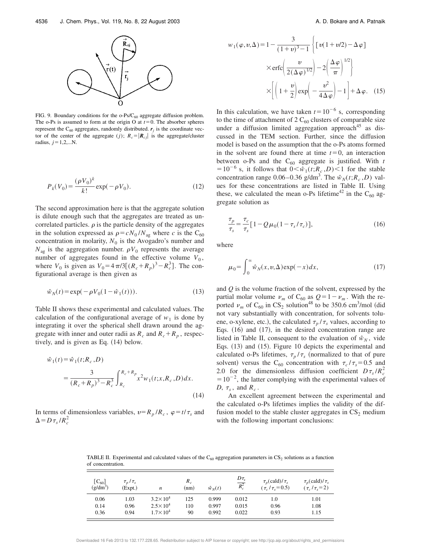

FIG. 9. Boundary conditions for the  $o-Ps/C_{60}$  aggregate diffusion problem. The o-Ps is assumed to form at the origin O at  $t=0$ . The absorber spheres represent the  $C_{60}$  aggregates, randomly distributed.  $r_j$  is the coordinate vector of the center of the aggregate (*j*);  $R_c = |\mathbf{R}_{cf}|$  is the aggregate/cluster radius,  $j=1,2,...N$ .

$$
P_k(V_0) = \frac{(\rho V_0)^k}{k!} \exp(-\rho V_0).
$$
 (12)

The second approximation here is that the aggregate solution is dilute enough such that the aggregates are treated as uncorrelated particles.  $\rho$  is the particle density of the aggregates in the solution expressed as  $\rho = cN_0/N_{ag}$  where *c* is the C<sub>60</sub> concentration in molarity,  $N_0$  is the Avogadro's number and  $N_{\text{ag}}$  is the aggregation number.  $\rho V_0$  represents the average number of aggregates found in the effective volume  $V_0$ , where  $V_0$  is given as  $V_0 = 4 \pi/3 [(R_c + R_p)^3 - R_c^3]$ . The configurational average is then given as

$$
\hat{w}_N(t) = \exp(-\rho V_0(1 - \hat{w}_1(t))).
$$
\n(13)

Table II shows these experimental and calculated values. The calculation of the configurational average of  $w_1$  is done by integrating it over the spherical shell drawn around the aggregate with inner and outer radii as  $R_c$  and  $R_c + R_p$ , respectively, and is given as Eq.  $(14)$  below.

$$
\hat{w}_1(t) = \hat{w}_1(t; R_c, D)
$$
\n
$$
= \frac{3}{(R_c + R_p)^3 - R_c^3} \int_{R_c}^{R_c + R_p} x^2 w_1(t; x, R_c, D) dx.
$$
\n(14)

In terms of dimensionless variables,  $v=R_p/R_c$ ,  $\varphi=t/\tau_s$  and  $\Delta = D \tau_s / R_c^2$ 

$$
v_1(\varphi, v, \Delta) = 1 - \frac{3}{(1+v)^3 - 1} \left\{ \left[ v(1+v/2) - \Delta \varphi \right] \times \text{erfc} \left( \frac{v}{2(\Delta \varphi)^{1/2}} \right) - 2 \left( \frac{\Delta \varphi}{\pi} \right)^{1/2} \right\}
$$

$$
\times \left[ \left( 1 + \frac{v}{2} \right) \exp \left( -\frac{v^2}{4\Delta \varphi} \right) - 1 \right] + \Delta \varphi. \quad (15)
$$

In this calculation, we have taken  $t=10^{-6}$  s, corresponding to the time of attachment of  $2 C_{60}$  clusters of comparable size under a diffusion limited aggregation approach<sup>45</sup> as discussed in the TEM section. Further, since the diffusion model is based on the assumption that the o-Ps atoms formed in the solvent are found there at time  $t=0$ , an interaction between o-Ps and the  $C_{60}$  aggregate is justified. With  $t$  $=10^{-6}$  s, it follows that  $0 < \hat{w}_1(t; R_c, D) < 1$  for the stable concentration range  $0.06-0.36$  g/dm<sup>3</sup>. The  $\hat{w}_N(t;R_c,D)$  values for these concentrations are listed in Table II. Using these, we calculated the mean o-Ps lifetime<sup>42</sup> in the C<sub>60</sub> aggregate solution as

$$
\frac{\tau_p}{\tau_s} = \frac{\tau_c}{\tau_s} \left[ 1 - Q \mu_0 (1 - \tau_s / \tau_c) \right],\tag{16}
$$

where

*w* 

$$
\mu_0 = \int_0^\infty \hat{w}_N(x, v, \Delta) \exp(-x) dx,\tag{17}
$$

and *Q* is the volume fraction of the solvent, expressed by the partial molar volume  $\nu_m$  of C<sub>60</sub> as  $Q=1-\nu_m$ . With the reported  $\nu_m$  of C<sub>60</sub> in CS<sub>2</sub> solution<sup>48</sup> to be 350.6 cm<sup>3</sup>/mol (did not vary substantially with concentration, for solvents toluene, o-xylene, etc.), the calculated  $\tau_p / \tau_s$  values, according to Eqs.  $(16)$  and  $(17)$ , in the desired concentration range are listed in Table II, consequent to the evaluation of  $\hat{w}_N$ , vide Eqs.  $(13)$  and  $(15)$ . Figure 10 depicts the experimental and calculated o-Ps lifetimes,  $\tau_p / \tau_s$  (normalized to that of pure solvent) versus the C<sub>60</sub> concentration with  $\tau_c/\tau_s = 0.5$  and 2.0 for the dimensionless diffusion coefficient  $D\tau_s/R_c^2$  $=10^{-2}$ , the latter complying with the experimental values of  $D, \tau_s$ , and  $R_c$ .

An excellent agreement between the experimental and the calculated o-Ps lifetimes implies the validity of the diffusion model to the stable cluster aggregates in  $CS<sub>2</sub>$  medium with the following important conclusions:

TABLE II. Experimental and calculated values of the  $C_{60}$  aggregation parameters in  $CS_2$  solutions as a function of concentration.

| $[C_{60}]$<br>$(g/dm^3)$ | $\tau_p/\tau_s$<br>(Expt.) | n                   | $R_c$<br>(nm) | $\hat{w}_N(t)$ | $\frac{D\tau_s}{R_c^2}$ | $\tau_{n}(\text{cald})/\tau_{s}$<br>$(\tau_c/\tau_s = 0.5)$ | $\tau_p(\text{cald})/\tau_s$<br>$(\tau_c/\tau_s=2)$ |
|--------------------------|----------------------------|---------------------|---------------|----------------|-------------------------|-------------------------------------------------------------|-----------------------------------------------------|
| 0.06                     | 1.03                       | $3.2 \times 10^{4}$ | 125           | 0.999          | 0.012                   | 1.0                                                         | 1.01                                                |
| 0.14                     | 0.96                       | $2.5 \times 10^{4}$ | 110           | 0.997          | 0.015                   | 0.96                                                        | 1.08                                                |
| 0.36                     | 0.94                       | $1.7 \times 10^{4}$ | 90            | 0.992          | 0.022                   | 0.93                                                        | 1.15                                                |

Downloaded 16 Feb 2013 to 132.177.228.65. Redistribution subject to AIP license or copyright; see http://jcp.aip.org/about/rights\_and\_permissions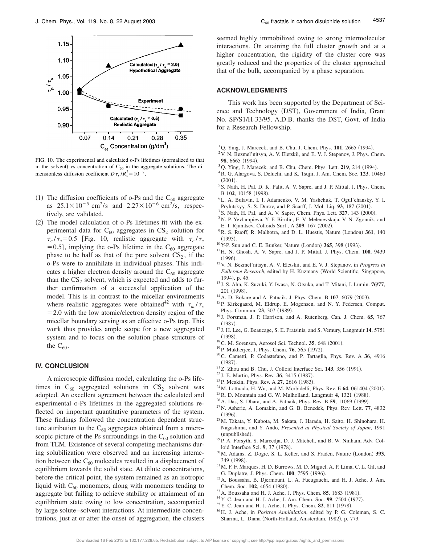

FIG. 10. The experimental and calculated o-Ps lifetimes (normalized to that in the solvent) vs concentration of  $C_{60}$  in the aggregate solutions. The dimensionless diffusion coefficient  $D\tau_s/R_c^2 = 10^{-2}$ .

- (1) The diffusion coefficients of o-Ps and the  $C_{60}$  aggregate as  $25.1 \times 10^{-5}$  cm<sup>2</sup>/s and  $2.27 \times 10^{-6}$  cm<sup>2</sup>/s, respectively, are validated.
- $(2)$  The model calculation of o-Ps lifetimes fit with the experimental data for  $C_{60}$  aggregates in  $CS_2$  solution for  $\tau_c/\tau_s$ =0.5 [Fig. 10, realistic aggregate with  $\tau_c/\tau_s$ = 0.5], implying the o-Ps lifetime in the  $C_{60}$  aggregate phase to be half as that of the pure solvent  $CS_2$ , if the o-Ps were to annihilate in individual phases. This indicates a higher electron density around the  $C_{60}$  aggregate than the  $CS_2$  solvent, which is expected and adds to further confirmation of a successful application of the model. This is in contrast to the micellar environments where realistic aggregates were obtained<sup>42</sup> with  $\tau_m / \tau_s$  $=$  2.0 with the low atomic/electron density region of the micellar boundary serving as an effective o-Ps trap. This work thus provides ample scope for a new aggregated system and to focus on the solution phase structure of the  $C_{60}$ .

#### **IV. CONCLUSION**

A microscopic diffusion model, calculating the o-Ps lifetimes in  $C_{60}$  aggregated solutions in  $CS_2$  solvent was adopted. An excellent agreement between the calculated and experimental o-Ps lifetimes in the aggregated solutions reflected on important quantitative parameters of the system. These findings followed the concentration dependent structure attribution to the  $C_{60}$  aggregates obtained from a microscopic picture of the Ps surroundings in the  $C_{60}$  solution and from TEM. Existence of several competing mechanisms during solubilization were observed and an increasing interaction between the  $C_{60}$  molecules resulted in a displacement of equilibrium towards the solid state. At dilute concentrations, before the critical point, the system remained as an isotropic liquid with  $C_{60}$  monomers, along with monomers tending to aggregate but failing to achieve stability or attainment of an equilibrium state owing to low concentration, accompanied by large solute–solvent interactions. At intermediate concentrations, just at or after the onset of aggregation, the clusters seemed highly immobilized owing to strong intermolecular interactions. On attaining the full cluster growth and at a higher concentration, the rigidity of the cluster core was greatly reduced and the properties of the cluster approached that of the bulk, accompanied by a phase separation.

#### **ACKNOWLEDGMENTS**

This work has been supported by the Department of Science and Technology (DST), Government of India, Grant No. SP/S1/H-33/95. A.D.B. thanks the DST, Govt. of India for a Research Fellowship.

- $1$ Q. Ying, J. Marecek, and B. Chu, J. Chem. Phys.  $101$ , 2665 (1994).
- <sup>2</sup>V. N. Bezmel'nitsyn, A. V. Eletskii, and E. V. J. Stepanov, J. Phys. Chem. 98, 6665 (1994).
- $3$ Q. Ying, J. Marecek, and B. Chu, Chem. Phys. Lett. **219**, 214 (1994).
- <sup>4</sup>R. G. Alargova, S. Deluchi, and K. Tsujii, J. Am. Chem. Soc. **123**, 10460  $(2001)$ .
- <sup>5</sup> S. Nath, H. Pal, D. K. Palit, A. V. Sapre, and J. P. Mittal, J. Phys. Chem. B 102, 10158 (1998).
- <sup>6</sup>L. A. Bulavin, I. I. Adamenko, V. M. Yashchuk, T. Ogul'chansky, Y. I. Prylutskyy, S. S. Durov, and P. Scarff, J. Mol. Liq. 93, 187 (2001).
- $^7$  S. Nath, H. Pal, and A. V. Sapre, Chem. Phys. Lett. **327**, 143  $(2000)$ .
- <sup>8</sup>N. P. Yevlampieva, Y. F. Birulin, E. V. Melenevskaja, V. N. Zgonnik, and E. I. Rjumtsev, Colloids Surf., A **209**, 167 (2002).
- <sup>9</sup>R. S. Ruoff, R. Malhotra, and D. L. Huestis, Nature (London) 361, 140  $(1993).$
- <sup>10</sup>Y-P. Sun and C. E. Bunker, Nature (London) 365, 398 (1993).
- <sup>11</sup>H. N. Ghosh, A. V. Sapre, and J. P. Mittal, J. Phys. Chem. **100**, 9439  $(1996).$
- <sup>12</sup>V. N. Bezmel'nitsyn, A. V. Eletskii, and E. V. J. Stepanov, in *Progress in Fullerene Research*, edited by H. Kuzmany (World Scientific, Singapore, 1994), p. 45.
- <sup>13</sup> J. S. Ahn, K. Suzuki, Y. Iwasa, N. Otsuka, and T. Mitani, J. Lumin. **76/77**, 201 (1998).
- $14$  A. D. Bokare and A. Patnaik, J. Phys. Chem. B  $107$ , 6079 (2003).
- <sup>15</sup>P. Kirkegaard, M. Eldrup, E. Mogensen, and N. Y. Pedersen, Comput. Phys. Commun. 23, 307 (1989).
- <sup>16</sup> J. Forsman, J. P. Harrison, and A. Rutenberg, Can. J. Chem. **65**, 767  $(1987)$ .
- <sup>17</sup> J. H. Lee, G. Beaucage, S. E. Pratsinis, and S. Vemury, Langmuir **14**, 5751  $(1998).$
- <sup>18</sup>C. M. Sorensen, Aerosol Sci. Technol. **35**, 648 (2001).
- <sup>19</sup>P. Mukherjee, J. Phys. Chem. **76**, 565 (1972).
- <sup>20</sup>C. Cametti, P. Codastefano, and P. Tartaglia, Phys. Rev. A **36**, 4916  $(1987)$ .
- $21$ Z. Zhou and B. Chu, J. Colloid Interface Sci. 143, 356 (1991).
- <sup>22</sup> J. E. Martin, Phys. Rev. **36**, 3415 (1987).
- <sup>23</sup> P. Meakin, Phys. Rev. A **27**, 2616 (1983).
- $^{24}$ M. Lattuada, H. Wu, and M. Morbidelli, Phys. Rev. E 64, 061404 (2001).
- <sup>25</sup> R. D. Mountain and G. W. Mulholland, Langmuir 4, 1321 (1988).
- <sup>26</sup> A. Das, S. Dhara, and A. Patnaik, Phys. Rev. B **59**, 11069 (1999).
- <sup>27</sup>N. Asherie, A. Lomakin, and G. B. Benedek, Phys. Rev. Lett. **77**, 4832  $(1996)$ .
- <sup>28</sup>M. Takata, Y. Kubota, M. Sakata, J. Harada, H. Saito, H. Shinohara, H. Nagashima, and Y. Ando, *Presented at Physical Society of Japan*, 1991 (unpublished).
- <sup>29</sup>P. A. Forsyth, S. Marcedja, D. J. Mitchell, and B. W. Ninham, Adv. Colloid Interface Sci. 9, 37 (1978).
- <sup>30</sup> M. Adams, Z. Dogic, S. L. Keller, and S. Fraden, Nature (London) 393, 349 (1998).
- <sup>31</sup>M. F. F. Marques, H. D. Burrows, M. D. Miguel, A. P. Lima, C. L. Gil, and G. Duplatre, J. Phys. Chem. **100**, 7595 (1996).
- <sup>32</sup>A. Boussaha, B. Djermouni, L. A. Fucugauchi, and H. J. Ache, J. Am. Chem. Soc. 102, 4654 (1980).
- <sup>33</sup> A. Boussaha and H. J. Ache, J. Phys. Chem. **85**, 1683 (1981).
- <sup>34</sup> Y. C. Jean and H. J. Ache, J. Am. Chem. Soc. **99**, 7504 (1977).
- <sup>35</sup> Y. C. Jean and H. J. Ache, J. Phys. Chem. **82**, 811 (1978).
- <sup>36</sup>H. J. Ache, in *Positron Annihilation*, edited by P. G. Coleman, S. C. Sharma, L. Diana (North-Holland, Amsterdam, 1982), p. 773.